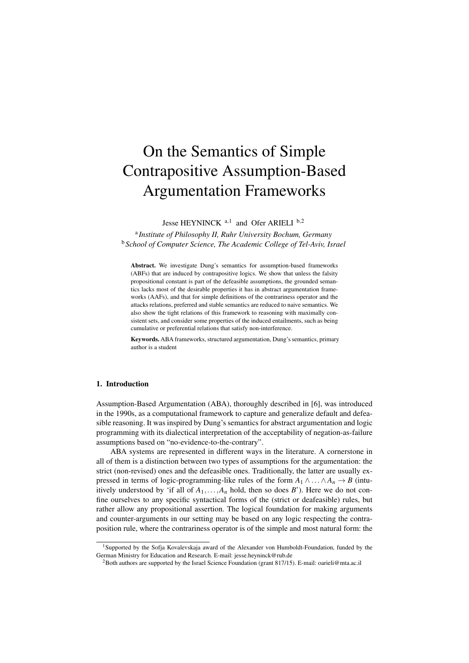# On the Semantics of Simple Contrapositive Assumption-Based Argumentation Frameworks

Jesse HEYNINCK  $a,1$  and Ofer ARIELI  $b,2$ 

a *Institute of Philosophy II, Ruhr University Bochum, Germany* <sup>b</sup> *School of Computer Science, The Academic College of Tel-Aviv, Israel*

Abstract. We investigate Dung's semantics for assumption-based frameworks (ABFs) that are induced by contrapositive logics. We show that unless the falsity propositional constant is part of the defeasible assumptions, the grounded semantics lacks most of the desirable properties it has in abstract argumentation frameworks (AAFs), and that for simple definitions of the contrariness operator and the attacks relations, preferred and stable semantics are reduced to naive semantics. We also show the tight relations of this framework to reasoning with maximally consistent sets, and consider some properties of the induced entailments, such as being cumulative or preferential relations that satisfy non-interference.

Keywords. ABA frameworks, structured argumentation, Dung's semantics, primary author is a student

#### 1. Introduction

Assumption-Based Argumentation (ABA), thoroughly described in [6], was introduced in the 1990s, as a computational framework to capture and generalize default and defeasible reasoning. It was inspired by Dung's semantics for abstract argumentation and logic programming with its dialectical interpretation of the acceptability of negation-as-failure assumptions based on "no-evidence-to-the-contrary".

ABA systems are represented in different ways in the literature. A cornerstone in all of them is a distinction between two types of assumptions for the argumentation: the strict (non-revised) ones and the defeasible ones. Traditionally, the latter are usually expressed in terms of logic-programming-like rules of the form  $A_1 \wedge \ldots \wedge A_n \rightarrow B$  (intuitively understood by 'if all of  $A_1, \ldots, A_n$  hold, then so does *B*'). Here we do not confine ourselves to any specific syntactical forms of the (strict or deafeasible) rules, but rather allow any propositional assertion. The logical foundation for making arguments and counter-arguments in our setting may be based on any logic respecting the contraposition rule, where the contrariness operator is of the simple and most natural form: the

<sup>&</sup>lt;sup>1</sup>Supported by the Sofja Kovalevskaja award of the Alexander von Humboldt-Foundation, funded by the German Ministry for Education and Research. E-mail: jesse.heyninck@rub.de

<sup>2</sup>Both authors are supported by the Israel Science Foundation (grant 817/15). E-mail: oarieli@mta.ac.il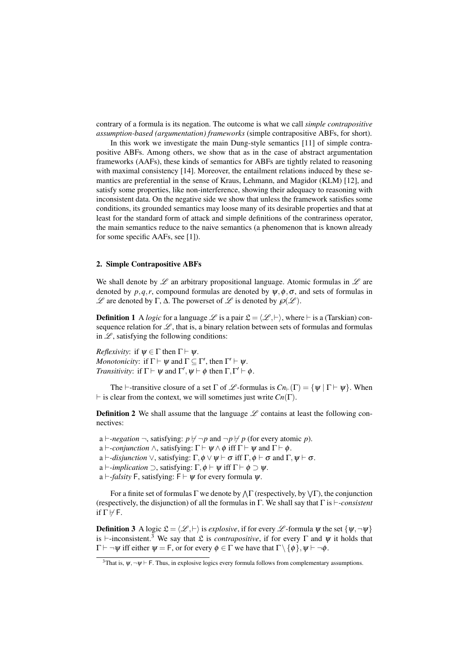contrary of a formula is its negation. The outcome is what we call *simple contrapositive assumption-based (argumentation) frameworks* (simple contrapositive ABFs, for short).

In this work we investigate the main Dung-style semantics [11] of simple contrapositive ABFs. Among others, we show that as in the case of abstract argumentation frameworks (AAFs), these kinds of semantics for ABFs are tightly related to reasoning with maximal consistency [14]. Moreover, the entailment relations induced by these semantics are preferential in the sense of Kraus, Lehmann, and Magidor (KLM) [12], and satisfy some properties, like non-interference, showing their adequacy to reasoning with inconsistent data. On the negative side we show that unless the framework satisfies some conditions, its grounded semantics may loose many of its desirable properties and that at least for the standard form of attack and simple definitions of the contrariness operator, the main semantics reduce to the naive semantics (a phenomenon that is known already for some specific AAFs, see [1]).

#### 2. Simple Contrapositive ABFs

We shall denote by  $\mathscr L$  an arbitrary propositional language. Atomic formulas in  $\mathscr L$  are denoted by *p*,*q*,*r*, compound formulas are denoted by  $\psi$ ,  $\phi$ ,  $\sigma$ , and sets of formulas in  $\mathscr L$  are denoted by Γ, Δ. The powerset of  $\mathscr L$  is denoted by  $\mathscr D(\mathscr L)$ .

**Definition 1** A *logic* for a language  $\mathcal{L}$  is a pair  $\mathcal{L} = \langle \mathcal{L}, \vdash \rangle$ , where  $\vdash$  is a (Tarskian) consequence relation for  $\mathscr{L}$ , that is, a binary relation between sets of formulas and formulas in  $\mathscr{L}$ , satisfying the following conditions:

*Reflexivity*: if  $\psi \in \Gamma$  then  $\Gamma \vdash \psi$ . *Monotonicity*: if  $\Gamma \vdash \psi$  and  $\Gamma \subseteq \Gamma'$ , then  $\Gamma' \vdash \psi$ . *Transitivity*: if  $\Gamma \vdash \psi$  and  $\Gamma', \psi \vdash \phi$  then  $\Gamma, \Gamma' \vdash \phi$ .

The  $\vdash$ -transitive closure of a set  $\Gamma$  of  $\mathscr L$ -formulas is  $Cn_{\vdash}(\Gamma) = \{ \psi \mid \Gamma \vdash \psi \}$ . When  $\vdash$  is clear from the context, we will sometimes just write  $Cn(\Gamma)$ .

**Definition 2** We shall assume that the language  $L$  contains at least the following connectives:

a  $\vdash$ *-negation*  $\neg$ , satisfying:  $p \not\vdash \neg p$  and  $\neg p \not\vdash p$  (for every atomic p). a  $\vdash$ -*conjunction*  $\land$ , satisfying:  $\Gamma \vdash \psi \land \phi$  iff  $\Gamma \vdash \psi$  and  $\Gamma \vdash \phi$ . a  $\vdash$ *-disjunction*  $\vee$ , satisfying:  $\Gamma$ ,  $\phi \vee \psi \vdash \sigma$  iff  $\Gamma$ ,  $\phi \vdash \sigma$  and  $\Gamma$ ,  $\psi \vdash \sigma$ . a  $\vdash$ *-implication*  $\supset$ , satisfying:  $\Gamma$ ,  $\phi \vdash \psi$  iff  $\Gamma \vdash \phi \supset \psi$ . a  $\vdash$ -*falsity* F, satisfying: F  $\vdash \psi$  for every formula  $\psi$ .

For a finite set of formulas  $\Gamma$  we denote by  $\wedge\Gamma$  (respectively, by  $\vee\Gamma$ ), the conjunction (respectively, the disjunction) of all the formulas in  $\Gamma$ . We shall say that  $\Gamma$  is  $\vdash$ -consistent if  $\Gamma \not \vdash \mathsf{F}$ .

**Definition 3** A logic  $\mathcal{L} = \langle \mathcal{L}, \vdash \rangle$  is *explosive*, if for every  $\mathcal{L}$ -formula  $\psi$  the set  $\{\psi, \neg \psi\}$ is  $\vdash$ -inconsistent.<sup>3</sup> We say that  $\mathcal L$  is *contrapositive*, if for every  $\Gamma$  and  $\psi$  it holds that  $\Gamma \vdash \neg \psi$  iff either  $\psi = F$ , or for every  $\phi \in \Gamma$  we have that  $\Gamma \setminus {\phi}$ ,  $\psi \vdash \neg \phi$ .

<sup>&</sup>lt;sup>3</sup>That is,  $\psi$ ,  $\neg \psi$   $\vdash$  F. Thus, in explosive logics every formula follows from complementary assumptions.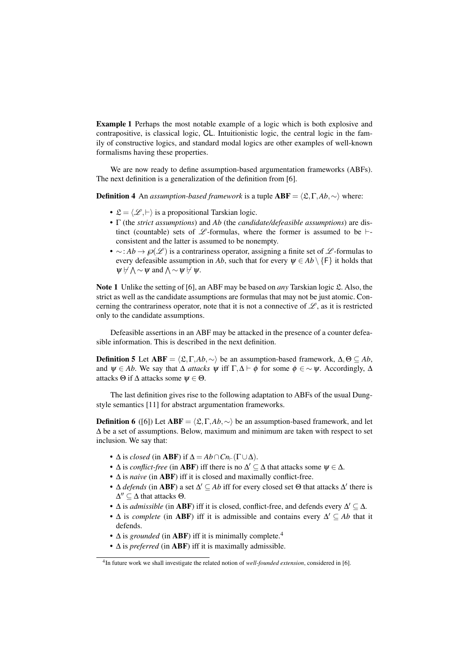Example 1 Perhaps the most notable example of a logic which is both explosive and contrapositive, is classical logic, CL. Intuitionistic logic, the central logic in the family of constructive logics, and standard modal logics are other examples of well-known formalisms having these properties.

We are now ready to define assumption-based argumentation frameworks (ABFs). The next definition is a generalization of the definition from [6].

**Definition 4** An *assumption-based framework* is a tuple  $ABF = \langle \mathcal{L}, \Gamma, Ab, \sim \rangle$  where:

- $\mathcal{L} = \langle \mathcal{L}, \vdash \rangle$  is a propositional Tarskian logic.
- Γ (the *strict assumptions*) and *Ab* (the *candidate/defeasible assumptions*) are distinct (countable) sets of  $\mathscr{L}$ -formulas, where the former is assumed to be  $\vdash$ consistent and the latter is assumed to be nonempty.
- $\sim$ : *Ab*  $\rightarrow \mathcal{O}(\mathcal{L})$  is a contrariness operator, assigning a finite set of  $\mathcal{L}$ -formulas to every defeasible assumption in *Ab*, such that for every  $\psi \in Ab \setminus {\{F\}}$  it holds that  $\psi \nvdash \wedge \sim \psi$  and  $\wedge \sim \psi \nvdash \psi$ .

Note 1 Unlike the setting of [6], an ABF may be based on *any* Tarskian logic  $\mathcal{L}$ . Also, the strict as well as the candidate assumptions are formulas that may not be just atomic. Concerning the contrariness operator, note that it is not a connective of  $\mathscr{L}$ , as it is restricted only to the candidate assumptions.

Defeasible assertions in an ABF may be attacked in the presence of a counter defeasible information. This is described in the next definition.

**Definition 5** Let  $ABF = \langle \mathcal{L}, \Gamma, Ab, \sim \rangle$  be an assumption-based framework,  $\Delta, \Theta \subseteq Ab$ , and  $\psi \in Ab$ . We say that  $\Delta$  *attacks*  $\psi$  iff  $\Gamma, \Delta \vdash \phi$  for some  $\phi \in \sim \psi$ . Accordingly,  $\Delta$ attacks  $\Theta$  if  $\Delta$  attacks some  $\psi \in \Theta$ .

The last definition gives rise to the following adaptation to ABFs of the usual Dungstyle semantics [11] for abstract argumentation frameworks.

**Definition 6** ([6]) Let  $ABF = \langle \mathcal{L}, \Gamma, Ab, \sim \rangle$  be an assumption-based framework, and let ∆ be a set of assumptions. Below, maximum and minimum are taken with respect to set inclusion. We say that:

- $\Delta$  is *closed* (in **ABF**) if  $\Delta = Ab \cap Cn_{\vdash}(\Gamma \cup \Delta)$ .
- $\Delta$  is *conflict-free* (in **ABF**) iff there is no  $\Delta' \subseteq \Delta$  that attacks some  $\psi \in \Delta$ .
- ∆ is *naive* (in ABF) iff it is closed and maximally conflict-free.
- $\Delta$  *defends* (in **ABF**) a set  $\Delta' \subseteq Ab$  iff for every closed set  $\Theta$  that attacks  $\Delta'$  there is  $\Delta'' \subseteq \Delta$  that attacks  $\Theta$ .
- $\Delta$  is *admissible* (in **ABF**) iff it is closed, conflict-free, and defends every  $\Delta' \subseteq \Delta$ .
- $\Delta$  is *complete* (in **ABF**) iff it is admissible and contains every  $\Delta' \subseteq Ab$  that it defends.
- $\Delta$  is *grounded* (in **ABF**) iff it is minimally complete.<sup>4</sup>
- ∆ is *preferred* (in ABF) iff it is maximally admissible.

<sup>4</sup> In future work we shall investigate the related notion of *well-founded extension*, considered in [6].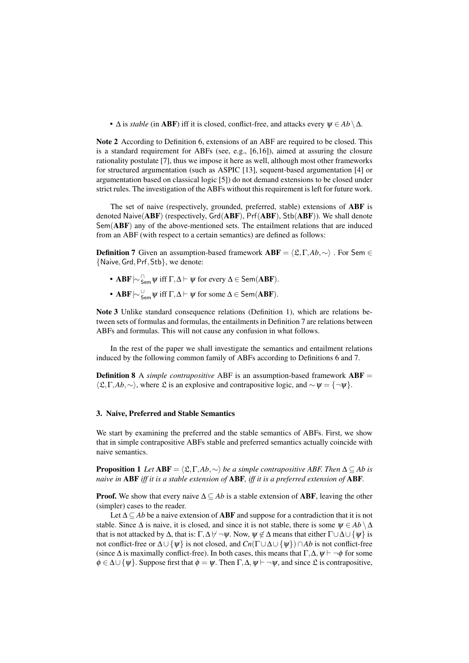•  $\Delta$  is *stable* (in **ABF**) iff it is closed, conflict-free, and attacks every  $\psi \in Ab \setminus \Delta$ .

Note 2 According to Definition 6, extensions of an ABF are required to be closed. This is a standard requirement for ABFs (see, e.g., [6,16]), aimed at assuring the closure rationality postulate [7], thus we impose it here as well, although most other frameworks for structured argumentation (such as ASPIC [13], sequent-based argumentation [4] or argumentation based on classical logic [5]) do not demand extensions to be closed under strict rules. The investigation of the ABFs without this requirement is left for future work.

The set of naive (respectively, grounded, preferred, stable) extensions of ABF is denoted Naive(ABF) (respectively, Grd(ABF), Prf(ABF), Stb(ABF)). We shall denote Sem(ABF) any of the above-mentioned sets. The entailment relations that are induced from an ABF (with respect to a certain semantics) are defined as follows:

**Definition 7** Given an assumption-based framework  $ABF = \langle \mathfrak{L}, \Gamma, Ab, \sim \rangle$ . For Sem ∈ {Naive,Grd,Prf,Stb}, we denote:

- $ABF \sim_{\mathsf{Sem}}^{\cap} \psi$  iff  $\Gamma, \Delta \vdash \psi$  for every  $\Delta \in \mathsf{Sem}(ABF)$ .
- **ABF**  $\sim \mathcal{L}_{\mathsf{Sem}}^{\cup} \psi$  iff  $\Gamma, \Delta \vdash \psi$  for some  $\Delta \in \mathsf{Sem}(\mathbf{ABF})$ .

Note 3 Unlike standard consequence relations (Definition 1), which are relations between sets of formulas and formulas, the entailments in Definition 7 are relations between ABFs and formulas. This will not cause any confusion in what follows.

In the rest of the paper we shall investigate the semantics and entailment relations induced by the following common family of ABFs according to Definitions 6 and 7.

**Definition 8** A *simple contrapositive* ABF is an assumption-based framework ABF =  $\langle \mathfrak{L}, \Gamma, Ab, \sim \rangle$ , where  $\mathfrak{L}$  is an explosive and contrapositive logic, and  $\sim \psi = \{\neg \psi\}.$ 

#### 3. Naive, Preferred and Stable Semantics

We start by examining the preferred and the stable semantics of ABFs. First, we show that in simple contrapositive ABFs stable and preferred semantics actually coincide with naive semantics.

**Proposition 1** *Let*  $ABF = \langle \mathcal{L}, \Gamma, Ab, \sim \rangle$  *be a simple contrapositive ABF. Then*  $\Delta \subseteq Ab$  *is naive in* ABF *iff it is a stable extension of* ABF*, iff it is a preferred extension of* ABF*.*

**Proof.** We show that every naive  $\Delta \subseteq Ab$  is a stable extension of **ABF**, leaving the other (simpler) cases to the reader.

Let  $\Delta \subset Ab$  be a naive extension of **ABF** and suppose for a contradiction that it is not stable. Since  $\Delta$  is naive, it is closed, and since it is not stable, there is some  $\psi \in Ab \setminus \Delta$ that is not attacked by  $\Delta$ , that is: Γ, $\Delta \not\vdash \neg \psi$ . Now,  $\psi \not\in \Delta$  means that either  $\Gamma \cup \Delta \cup \{\psi\}$  is not conflict-free or ∆∪ {ψ} is not closed, and *Cn*(Γ∪∆∪ {ψ})∩*Ab* is not conflict-free (since  $\Delta$  is maximally conflict-free). In both cases, this means that  $\Gamma, \Delta, \psi \vdash \neg \phi$  for some  $\phi \in \Delta \cup \{\psi\}$ . Suppose first that  $\phi = \psi$ . Then  $\Gamma, \Delta, \psi \vdash \neg \psi$ , and since £ is contrapositive,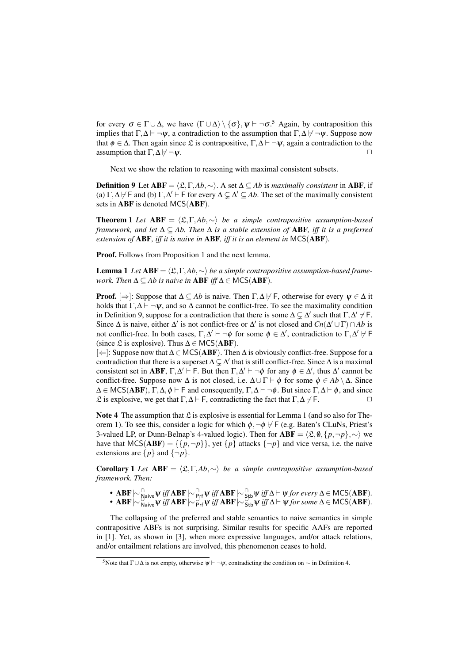for every  $\sigma \in \Gamma \cup \Delta$ , we have  $(\Gamma \cup \Delta) \setminus {\{\sigma\}, \psi \vdash \neg \sigma^5}$  Again, by contraposition this implies that  $\Gamma, \Delta \vdash \neg \psi$ , a contradiction to the assumption that  $\Gamma, \Delta \not\vdash \neg \psi$ . Suppose now that  $\phi \in \Delta$ . Then again since  $\mathfrak L$  is contrapositive,  $\Gamma, \Delta \vdash \neg \psi$ , again a contradiction to the assumption that  $\Gamma, \Delta \not\vdash \neg \psi$ .

Next we show the relation to reasoning with maximal consistent subsets.

**Definition 9** Let  $ABF = \langle \mathcal{L}, \Gamma, Ab, \sim \rangle$ . A set ∆ ⊂ *Ab* is *maximally consistent* in *ABF*, if (a)  $\Gamma, \Delta \not\vdash F$  and (b)  $\Gamma, \Delta' \vdash F$  for every  $\Delta \subsetneq \Delta' \subseteq Ab$ . The set of the maximally consistent sets in ABF is denoted MCS(ABF).

**Theorem 1** *Let*  $ABF = \langle \mathcal{L}, \Gamma, Ab, \sim \rangle$  *be a simple contrapositive assumption-based framework, and let* ∆ ⊆ *Ab. Then* ∆ *is a stable extension of* ABF*, iff it is a preferred extension of* ABF*, iff it is naive in* ABF*, iff it is an element in* MCS(ABF)*.*

Proof. Follows from Proposition 1 and the next lemma.

**Lemma 1** *Let*  $ABF = \langle \mathcal{L}, \Gamma, Ab, \sim \rangle$  *be a simple contrapositive assumption-based framework. Then*  $\Delta \subseteq Ab$  *is naive in* **ABF** *iff*  $\Delta \in \text{MCS}(\mathbf{ABF})$ *.* 

**Proof.**  $[\Rightarrow]$ : Suppose that  $\Delta \subseteq Ab$  is naive. Then  $\Gamma$ ,  $\Delta \not\vdash F$ , otherwise for every  $\psi \in \Delta$  it holds that  $\Gamma, \Delta \vdash \neg \psi$ , and so  $\Delta$  cannot be conflict-free. To see the maximality condition in Definition 9, suppose for a contradiction that there is some  $\Delta \subsetneq \Delta'$  such that  $\Gamma, \Delta' \nvdash F$ . Since  $\Delta$  is naive, either  $\Delta'$  is not conflict-free or  $\Delta'$  is not closed and  $Cn(\Delta' \cup \Gamma) \cap Ab$  is not conflict-free. In both cases,  $\Gamma, \Delta' \vdash \neg \phi$  for some  $\phi \in \Delta'$ , contradiction to  $\Gamma, \Delta' \not\vdash \Gamma$ (since  $\mathfrak{L}$  is explosive). Thus  $\Delta \in \mathsf{MCS}(\mathbf{ABF})$ .

[⇐]: Suppose now that ∆ ∈ MCS(ABF). Then ∆ is obviously conflict-free. Suppose for a contradiction that there is a superset  $\Delta \subsetneq \Delta'$  that is still conflict-free. Since  $\Delta$  is a maximal consistent set in **ABF**,  $\Gamma, \Delta' \vdash F$ . But then  $\Gamma, \Delta' \vdash \neg \phi$  for any  $\phi \in \Delta'$ , thus  $\Delta'$  cannot be conflict-free. Suppose now  $\Delta$  is not closed, i.e.  $\Delta \cup \Gamma \vdash \phi$  for some  $\phi \in Ab \setminus \Delta$ . Since  $\Delta \in \text{MCS}(ABF)$ ,  $\Gamma, \Delta, \phi \vdash F$  and consequently,  $\Gamma, \Delta \vdash \neg \phi$ . But since  $\Gamma, \Delta \vdash \phi$ , and since L is explosive, we get that Γ, Δ  $\vdash$  F, contradicting the fact that Γ, Δ  $\vdash$  F.  $\Box$ 

**Note 4** The assumption that  $\mathfrak L$  is explosive is essential for Lemma 1 (and so also for Theorem 1). To see this, consider a logic for which  $\phi$ ,  $\neg \phi \nvdash F$  (e.g. Baten's CLuNs, Priest's 3-valued LP, or Dunn-Belnap's 4-valued logic). Then for  $ABF = \langle \mathfrak{L}, \emptyset, \{p, \neg p\}, \sim \rangle$  we have that  $MCS(ABF) = \{\{p, \neg p\}\}\$ , yet  $\{p\}$  attacks  $\{\neg p\}$  and vice versa, i.e. the naive extensions are  $\{p\}$  and  $\{\neg p\}$ .

**Corollary 1** *Let*  $ABF = \langle \mathfrak{L}, \Gamma, Ab, \sim \rangle$  *be a simple contrapositive assumption-based framework. Then:*

- ABF $\vert \sim$   $\bigcap_{\text{Pair}}$   $\psi$  *iff* ABF $\vert \sim$   $\bigcap_{\text{Pr}}^{\cap}$   $\psi$  *iff* ABF $\vert \sim$   $\bigcap_{\text{Stb}}^{\cap}$   $\psi$  *iff*  $\Delta$   $\vdash$   $\psi$  *for every*  $\Delta$  ∈ MCS(ABF).
- ABF $\vert \sim \frac{U^{12}}{N_{\text{alive}}}$ ψ *iff* ABF $\vert \sim \frac{U^{11}}{Prf}$ ψ *iff* ABF $\vert \sim \frac{U^{12}}{Stb}$ ψ *iff* Δ $\vdash \psi$  for some Δ ∈ MCS(ABF).

The collapsing of the preferred and stable semantics to naive semantics in simple contrapositive ABFs is not surprising. Similar results for specific AAFs are reported in [1]. Yet, as shown in [3], when more expressive languages, and/or attack relations, and/or entailment relations are involved, this phenomenon ceases to hold.

<sup>&</sup>lt;sup>5</sup>Note that  $\Gamma \cup \Delta$  is not empty, otherwise  $\psi \vdash \neg \psi$ , contradicting the condition on  $\sim$  in Definition 4.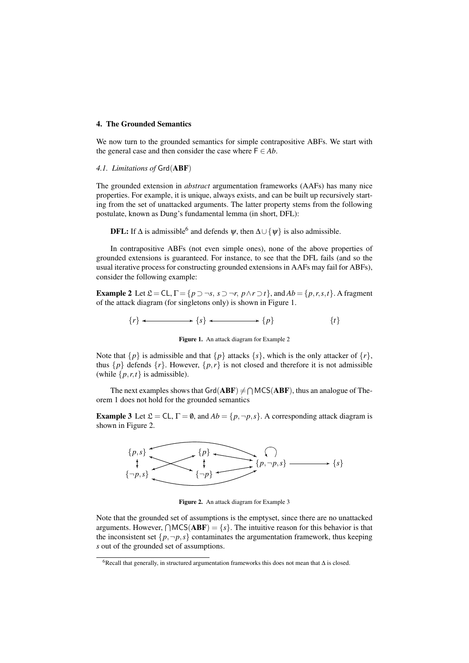## 4. The Grounded Semantics

We now turn to the grounded semantics for simple contrapositive ABFs. We start with the general case and then consider the case where  $F \in Ab$ .

# *4.1. Limitations of* Grd(ABF)

The grounded extension in *abstract* argumentation frameworks (AAFs) has many nice properties. For example, it is unique, always exists, and can be built up recursively starting from the set of unattacked arguments. The latter property stems from the following postulate, known as Dung's fundamental lemma (in short, DFL):

**DFL:** If  $\Delta$  is admissible<sup>6</sup> and defends  $\psi$ , then  $\Delta \cup {\psi}$  is also admissible.

In contrapositive ABFs (not even simple ones), none of the above properties of grounded extensions is guaranteed. For instance, to see that the DFL fails (and so the usual iterative process for constructing grounded extensions in AAFs may fail for ABFs), consider the following example:

**Example 2** Let  $\mathcal{L} = CL$ ,  $\Gamma = \{p \supset \neg s, s \supset \neg r, p \wedge r \supset t\}$ , and  $Ab = \{p, r, s, t\}$ . A fragment of the attack diagram (for singletons only) is shown in Figure 1.

$$
\{r\} \longleftrightarrow \{s\} \longleftrightarrow \{p\} \qquad \{t\}
$$

Figure 1. An attack diagram for Example 2

Note that  $\{p\}$  is admissible and that  $\{p\}$  attacks  $\{s\}$ , which is the only attacker of  $\{r\}$ , thus  $\{p\}$  defends  $\{r\}$ . However,  $\{p,r\}$  is not closed and therefore it is not admissible (while  $\{p, r, t\}$  is admissible).

The next examples shows that  $\mathsf{Grd}(\mathbf{ABF}) \neq \bigcap \mathsf{MCS}(\mathbf{ABF})$ , thus an analogue of Theorem 1 does not hold for the grounded semantics

**Example 3** Let  $\mathcal{L} = CL$ ,  $\Gamma = \emptyset$ , and  $Ab = \{p, \neg p, s\}$ . A corresponding attack diagram is shown in Figure 2.



Figure 2. An attack diagram for Example 3

Note that the grounded set of assumptions is the emptyset, since there are no unattacked arguments. However,  $\bigcap \text{MCS}(ABF) = \{s\}$ . The intuitive reason for this behavior is that the inconsistent set  $\{p, \neg p, s\}$  contaminates the argumentation framework, thus keeping *s* out of the grounded set of assumptions.

<sup>6</sup>Recall that generally, in structured argumentation frameworks this does not mean that ∆ is closed.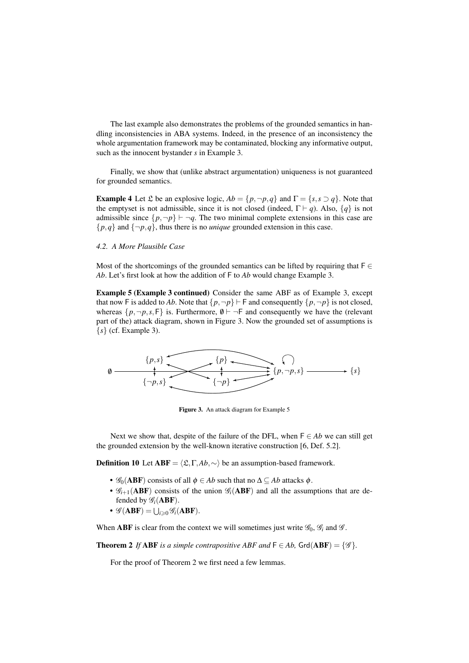The last example also demonstrates the problems of the grounded semantics in handling inconsistencies in ABA systems. Indeed, in the presence of an inconsistency the whole argumentation framework may be contaminated, blocking any informative output, such as the innocent bystander *s* in Example 3.

Finally, we show that (unlike abstract argumentation) uniqueness is not guaranteed for grounded semantics.

**Example 4** Let  $\mathcal{L}$  be an explosive logic,  $Ab = \{p, \neg p, q\}$  and  $\Gamma = \{s, s \supset q\}$ . Note that the emptyset is not admissible, since it is not closed (indeed,  $\Gamma \vdash q$ ). Also,  $\{q\}$  is not admissible since  $\{p, \neg p\} \vdash \neg q$ . The two minimal complete extensions in this case are  $\{p,q\}$  and  $\{\neg p,q\}$ , thus there is no *unique* grounded extension in this case.

## *4.2. A More Plausible Case*

Most of the shortcomings of the grounded semantics can be lifted by requiring that  $F \in$ *Ab*. Let's first look at how the addition of F to *Ab* would change Example 3.

Example 5 (Example 3 continued) Consider the same ABF as of Example 3, except that now F is added to *Ab*. Note that  $\{p, \neg p\} \vdash F$  and consequently  $\{p, \neg p\}$  is not closed, whereas  $\{p, \neg p, s, \mathsf{F}\}\$ is. Furthermore,  $\emptyset \vdash \neg \mathsf{F}$  and consequently we have the (relevant part of the) attack diagram, shown in Figure 3. Now the grounded set of assumptions is {*s*} (cf. Example 3).

$$
\emptyset \longrightarrow \{p,s\} \longrightarrow \{p\} \longrightarrow \{p,\neg p,s\} \longrightarrow \{s\}
$$

Figure 3. An attack diagram for Example 5

Next we show that, despite of the failure of the DFL, when  $F \in Ab$  we can still get the grounded extension by the well-known iterative construction [6, Def. 5.2].

**Definition 10** Let **ABF** =  $\langle \mathcal{L}, \Gamma, Ab, \sim \rangle$  be an assumption-based framework.

- $\mathscr{G}_0$ (**ABF**) consists of all  $\phi \in Ab$  such that no  $\Delta \subseteq Ab$  attacks  $\phi$ .
- $\mathscr{G}_{i+1}$ (ABF) consists of the union  $\mathscr{G}_i$ (ABF) and all the assumptions that are defended by  $\mathscr{G}_i(ABF)$ .
- $\mathscr{G}(\mathbf{ABF}) = \bigcup_{i \geqslant 0} \mathscr{G}_i(\mathbf{ABF}).$

When **ABF** is clear from the context we will sometimes just write  $\mathcal{G}_0$ ,  $\mathcal{G}_i$  and  $\mathcal{G}$ .

**Theorem 2** *If* **ABF** *is a simple contrapositive ABF and*  $F \in Ab$ ,  $Grd(ABF) = \{$ mathscr{G}\}.

For the proof of Theorem 2 we first need a few lemmas.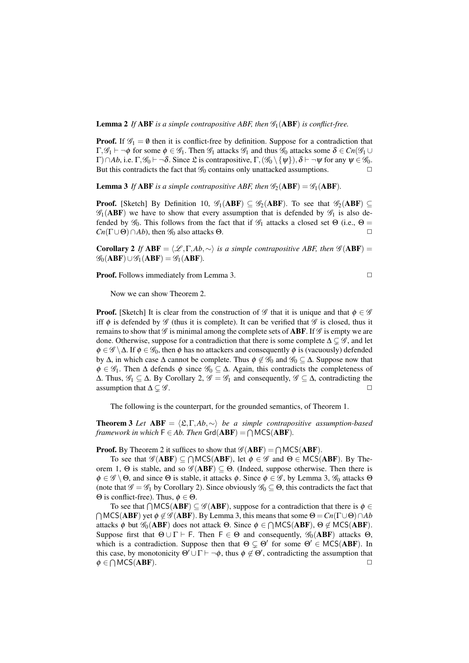**Lemma 2** *If* **ABF** *is a simple contrapositive ABF, then*  $\mathscr{G}_1$  (**ABF**) *is conflict-free.* 

**Proof.** If  $\mathscr{G}_1 = \emptyset$  then it is conflict-free by definition. Suppose for a contradiction that  $\Gamma$ ,  $\mathscr{G}_1 \vdash \neg \phi$  for some  $\phi \in \mathscr{G}_1$ . Then  $\mathscr{G}_1$  attacks  $\mathscr{G}_1$  and thus  $\mathscr{G}_0$  attacks some  $\delta \in C_n(\mathscr{G}_1 \cup$  $Γ) ∩ Ab$ , i.e. Γ,  $\mathscr{G}_0$   $\vdash \neg \delta$ . Since £ is contrapositive, Γ,  $(\mathscr{G}_0 \setminus {\{\psi\}}), \delta \vdash \neg \psi$  for any  $\psi \in \mathscr{G}_0$ . But this contradicts the fact that  $\mathcal{G}_0$  contains only unattacked assumptions.

**Lemma 3** *If* **ABF** *is a simple contrapositive ABF, then*  $\mathscr{G}_2$  (**ABF**) =  $\mathscr{G}_1$  (**ABF**)*.* 

**Proof.** [Sketch] By Definition 10,  $\mathscr{G}_1(ABF) \subseteq \mathscr{G}_2(ABF)$ . To see that  $\mathscr{G}_2(ABF) \subseteq$  $\mathscr{G}_1$ (ABF) we have to show that every assumption that is defended by  $\mathscr{G}_1$  is also defended by  $\mathscr{G}_0$ . This follows from the fact that if  $\mathscr{G}_1$  attacks a closed set  $\Theta$  (i.e.,  $\Theta =$  $Cn(\Gamma \cup \Theta) \cap Ab$ , then  $\mathscr{G}_0$  also attacks  $\Theta$ .

**Corollary 2** *If*  $ABF = \langle \mathcal{L}, \Gamma, Ab, \sim \rangle$  *is a simple contrapositive ABF, then*  $\mathcal{G}(ABF) =$  $\mathscr{G}_0(ABF)\cup\mathscr{G}_1(ABF)=\mathscr{G}_1(ABF).$ 

**Proof.** Follows immediately from Lemma 3. ◯

Now we can show Theorem 2.

**Proof.** [Sketch] It is clear from the construction of  $\mathscr G$  that it is unique and that  $\phi \in \mathscr G$ iff  $\phi$  is defended by  $\mathscr G$  (thus it is complete). It can be verified that  $\mathscr G$  is closed, thus it remains to show that  $\mathscr G$  is minimal among the complete sets of **ABF**. If  $\mathscr G$  is empty we are done. Otherwise, suppose for a contradiction that there is some complete  $\Delta \subset \mathscr{G}$ , and let  $\phi \in \mathscr{G} \setminus \Delta$ . If  $\phi \in \mathscr{G}_0$ , then  $\phi$  has no attackers and consequently  $\phi$  is (vacuously) defended by  $\Delta$ , in which case  $\Delta$  cannot be complete. Thus  $\phi \notin \mathscr{G}_0$  and  $\mathscr{G}_0 \subset \Delta$ . Suppose now that  $\phi \in \mathscr{G}_1$ . Then  $\Delta$  defends  $\phi$  since  $\mathscr{G}_0 \subseteq \Delta$ . Again, this contradicts the completeness of  $\Delta$ . Thus,  $\mathscr{G}_1 \subseteq \Delta$ . By Corollary 2,  $\mathscr{G} = \mathscr{G}_1$  and consequently,  $\mathscr{G} \subseteq \Delta$ , contradicting the assumption that  $\Delta \subsetneq \mathscr{G}$ .

The following is the counterpart, for the grounded semantics, of Theorem 1.

**Theorem 3** Let  $ABF = \langle \mathcal{L}, \Gamma, Ab, \sim \rangle$  *be a simple contrapositive assumption-based framework in which*  $F \in Ab$ . Then  $Grd(ABF) = \bigcap MCS(ABF)$ .

## **Proof.** By Theorem 2 it suffices to show that  $\mathscr{G}(ABF) = \bigcap MCS(ABF)$ .

To see that  $\mathscr{G}(ABF) \subseteq \bigcap {\sf MCS}(ABF)$ , let  $\phi \in \mathscr{G}$  and  $\Theta \in {\sf MCS}(ABF)$ . By Theorem 1,  $\Theta$  is stable, and so  $\mathscr{G}(ABF) \subseteq \Theta$ . (Indeed, suppose otherwise. Then there is  $\phi \in \mathscr{G} \setminus \Theta$ , and since  $\Theta$  is stable, it attacks  $\phi$ . Since  $\phi \in \mathscr{G}$ , by Lemma 3,  $\mathscr{G}_0$  attacks  $\Theta$ (note that  $\mathscr{G} = \mathscr{G}_1$  by Corollary 2). Since obviously  $\mathscr{G}_0 \subseteq \Theta$ , this contradicts the fact that  $Θ$  is conflict-free). Thus,  $φ ∈ Θ$ .

To see that  $\bigcap \text{MCS}(ABF) \subseteq \mathscr{G}(ABF)$ , suppose for a contradiction that there is  $\phi \in$  $\bigcap \text{MCS}(\text{ABF})$  yet  $\phi \not\in \mathscr{G}(\text{ABF})$ . By Lemma 3, this means that some  $\Theta = Cn(\Gamma \cup \Theta) \cap Ab$ attacks  $\phi$  but  $\mathscr{G}_0(ABF)$  does not attack  $\Theta$ . Since  $\phi \in \bigcap {\sf MCS}(ABF)$ ,  $\Theta \notin {\sf MCS}(ABF)$ . Suppose first that  $\Theta \cup \Gamma \vdash F$ . Then  $F \in \Theta$  and consequently,  $\mathscr{G}_0(\mathbf{ABF})$  attacks  $\Theta$ , which is a contradiction. Suppose then that  $\Theta \subsetneq \Theta'$  for some  $\Theta' \in \text{MCS}(ABF)$ . In this case, by monotonicity  $\Theta' \cup \Gamma \vdash \neg \phi$ , thus  $\phi \notin \Theta'$ , contradicting the assumption that  $\phi \in \bigcap \text{MCS}(\text{ABF})$ .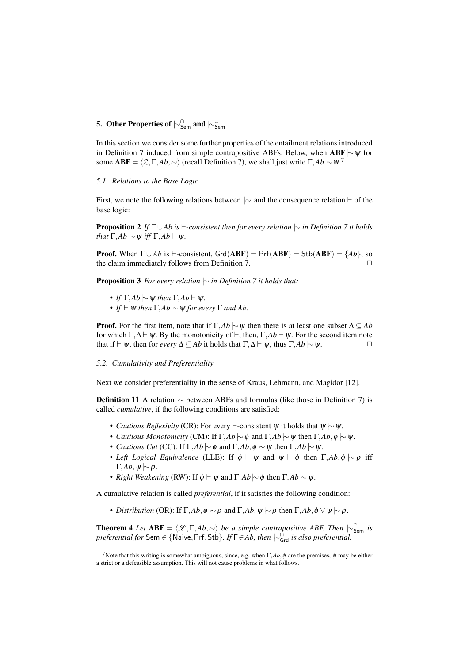# 5. Other Properties of  $\mathsf{\sim}_{\mathsf{Sem}}^\cap$  and  $\mathsf{\sim}_{\mathsf{Sem}}^\cup$

In this section we consider some further properties of the entailment relations introduced in Definition 7 induced from simple contrapositive ABFs. Below, when ABF|∼ψ for some  $ABF = \langle \mathfrak{L}, \Gamma, Ab, \sim \rangle$  (recall Definition 7), we shall just write  $\Gamma, Ab \sim \psi$ .<sup>7</sup>

## *5.1. Relations to the Base Logic*

First, we note the following relations between  $\sim$  and the consequence relation  $\vdash$  of the base logic:

**Proposition 2** *If*  $\Gamma \cup Ab$  *is*  $\vdash$ -consistent then for every relation  $\sim$  *in Definition* 7 *it holds that*  $\Gamma$ *,Ab*  $\sim$   $\psi$  *iff*  $\Gamma$ *,Ab*  $\vdash$   $\psi$ *.* 

**Proof.** When  $\Gamma \cup Ab$  is  $\vdash$ -consistent,  $Grd(ABF) = Prf(ABF) = Stb(ABF) = \{Ab\}$ , so the claim immediately follows from Definition 7.

Proposition 3 *For every relation* |∼ *in Definition 7 it holds that:*

- *If*  $\Gamma$ *,Ab*  $\sim$   $\psi$  *then*  $\Gamma$ *,Ab*  $\vdash$   $\psi$ *.*
- *If*  $\vdash \Psi$  *then*  $\Gamma$ *,Ab* $\sim \Psi$  *for every*  $\Gamma$  *and Ab.*

**Proof.** For the first item, note that if  $\Gamma$ , *Ab*|∼ $\psi$  then there is at least one subset  $\Delta \subseteq Ab$ for which  $\Gamma$ ,  $\Delta \vdash \psi$ . By the monotonicity of  $\vdash$ , then,  $\Gamma$ ,  $Ab \vdash \psi$ . For the second item note that if  $\vdash \psi$ , then for *every*  $\Delta \subseteq Ab$  it holds that  $\Gamma, \Delta \vdash \psi$ , thus  $\Gamma, Ab \mid \sim \psi$ .

#### *5.2. Cumulativity and Preferentiality*

Next we consider preferentiality in the sense of Kraus, Lehmann, and Magidor [12].

Definition 11 A relation  $\sim$  between ABFs and formulas (like those in Definition 7) is called *cumulative*, if the following conditions are satisfied:

- *Cautious Reflexivity* (CR): For every  $\vdash$ -consistent  $\psi$  it holds that  $\psi \sim \psi$ .
- *Cautious Monotonicity* (CM): If  $\Gamma$ *,Ab*  $\sim \phi$  and  $\Gamma$ *,Ab*  $\sim \psi$  then  $\Gamma$ *,Ab*, $\phi \sim \psi$ .
- *Cautious Cut* (CC): If Γ, $Ab \sim \phi$  and Γ, $Ab, \phi \sim \psi$  then Γ, $Ab \sim \psi$ .
- *Left Logical Equivalence* (LLE): If  $\phi \vdash \psi$  and  $\psi \vdash \phi$  then  $\Gamma, Ab, \phi \vdash \phi$  iff  $Γ, Ab, ψ \mid\sim ρ$ .
- *Right Weakening* (RW): If  $\phi \vdash \psi$  and  $\Gamma$ *,Ab*  $\sim \phi$  then  $\Gamma$ *,Ab*  $\sim \psi$ *.*

A cumulative relation is called *preferential*, if it satisfies the following condition:

• *Distribution* (OR): If  $\Gamma$ *,Ab*, $\phi \sim \rho$  and  $\Gamma$ *,Ab*,  $\psi \sim \rho$  then  $\Gamma$ *,Ab*, $\phi \vee \psi \sim \rho$ *.* 

**Theorem 4** *Let*  $ABF = \langle \mathcal{L}, \Gamma, Ab, \sim \rangle$  *be a simple contrapositive ABF. Then*  $\vert \sim_{Sem}^{\cap}$  *is preferential for* Sem ∈ {Naive, Prf, Stb}. If F ∈ *Ab, then*  $\downarrow \circ$  *G*<sub>rd</sub> *is also preferential.* 

<sup>&</sup>lt;sup>7</sup>Note that this writing is somewhat ambiguous, since, e.g. when  $\Gamma$ *,Ab*, $\phi$  are the premises,  $\phi$  may be either a strict or a defeasible assumption. This will not cause problems in what follows.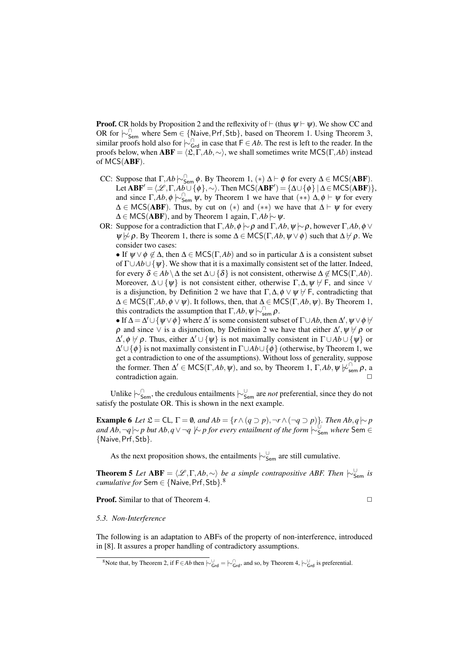**Proof.** CR holds by Proposition 2 and the reflexivity of  $\vdash$  (thus  $\psi \vdash \psi$ ). We show CC and OR for  $\sim_{\mathsf{Sem}}^{\cap}$  where Sem ∈ {Naive, Prf, Stb}, based on Theorem 1. Using Theorem 3, similar proofs hold also for  $\vdash_{Grd}^{\cap}$  in case that  $F \in Ab$ . The rest is left to the reader. In the proofs below, when  $ABF = \langle \mathcal{L}, \Gamma, Ab, \sim \rangle$ , we shall sometimes write MCS(Γ,*Ab*) instead of MCS(ABF).

- CC: Suppose that  $\Gamma, Ab \sim_{\text{Sem}}^{\cap} \phi$ . By Theorem 1, (\*)  $\Delta \vdash \phi$  for every  $\Delta \in \text{MCS}(ABF)$ . Let  $ABF' = \langle \mathcal{L}, \Gamma, Ab \cup \{\phi\}, \sim \rangle$ . Then MCS( $ABF'$ ) = { $\Delta \cup \{\phi\}$  |  $\Delta \in \text{MCS}(ABF)$ }, and since  $\Gamma$ , *Ab*,  $\phi \sim_{\text{Sem}}^{\cap} \psi$ , by Theorem 1 we have that  $(**)$   $\Delta$ ,  $\phi \vdash \psi$  for every  $\Delta \in \text{MCS}(ABF)$ . Thus, by cut on (\*) and (\*\*) we have that  $\Delta \vdash \psi$  for every  $\Delta \in \text{MCS}(ABF)$ , and by Theorem 1 again,  $\Gamma, Ab \sim \psi$ .
- OR: Suppose for a contradiction that Γ,*Ab*,  $\phi$   $\sim$  ρ and Γ,*Ab*,  $\psi$   $\sim$  ρ, however Γ,*Ab*,  $\phi$  ∨  $\psi$   $\beta$   $\rho$ . By Theorem 1, there is some  $\Delta \in \text{MCS}(\Gamma, Ab, \psi \vee \phi)$  such that  $\Delta \not\vdash \rho$ . We consider two cases:

• If  $\psi \lor \phi \notin \Delta$ , then  $\Delta \in \mathsf{MCS}(\Gamma, Ab)$  and so in particular  $\Delta$  is a consistent subset of Γ∪*Ab*∪ {ψ}. We show that it is a maximally consistent set of the latter. Indeed, for every  $\delta \in Ab \setminus \Delta$  the set  $\Delta \cup {\delta}$  is not consistent, otherwise  $\Delta \notin \text{MCS}(\Gamma, Ab)$ . Moreover,  $\Delta \cup \{\psi\}$  is not consistent either, otherwise  $\Gamma, \Delta, \psi \nvDash F$ , and since  $\vee$ is a disjunction, by Definition 2 we have that  $\Gamma, \Delta, \phi \lor \psi \nvdash F$ , contradicting that  $\Delta \in \text{MCS}(\Gamma, Ab, \phi \lor \psi)$ . It follows, then, that  $\Delta \in \text{MCS}(\Gamma, Ab, \psi)$ . By Theorem 1, this contradicts the assumption that  $\Gamma$ , *Ab*,  $\psi \sim_{\text{sem}}^{\cap} \rho$ .

• If  $\Delta = \Delta' \cup \{\psi \lor \phi\}$  where  $\Delta'$  is some consistent subset of  $\Gamma \cup Ab$ , then  $\Delta', \psi \lor \phi \nleftrightarrow$  $\rho$  and since  $\vee$  is a disjunction, by Definition 2 we have that either  $\Delta', \psi \nvdash \rho$  or  $\Delta', \phi \not\vdash \rho$ . Thus, either  $\Delta' \cup {\psi}$  is not maximally consistent in  $\Gamma \cup Ab \cup {\psi}$  or ∆ <sup>0</sup>∪{φ} is not maximally consistent in Γ∪*Ab*∪{φ} (otherwise, by Theorem 1, we get a contradiction to one of the assumptions). Without loss of generality, suppose the former. Then  $\Delta' \in \mathsf{MCS}(\Gamma, Ab, \psi)$ , and so, by Theorem 1,  $\Gamma, Ab, \psi \not\sim_{\mathsf{sem}}^{\mathsf{om}} \rho$ , a contradiction again.

Unlike  $\vdash_{\mathsf{Sem}}^{\cap}$ , the credulous entailments  $\vdash_{\mathsf{Sem}}^{\cup}$  are *not* preferential, since they do not satisfy the postulate OR. This is shown in the next example.

**Example 6** *Let*  $\mathfrak{L} = \mathsf{CL}$ ,  $\Gamma = \emptyset$ , and  $Ab = \{r \land (q \supset p), \neg r \land (\neg q \supset p)\}\)$ . Then  $Ab, q \sim p$ *and Ab*,¬*q*|∼ *p but Ab*,*q* ∨ ¬*q* |← *p for every entailment of the form*  $\stackrel{\sim}{\sim} \frac{1}{S_{\text{em}}}$  *where* Sem  $\in$ {Naive,Prf,Stb}*.*

As the next proposition shows, the entailments  $\vdash_{\mathsf{Sem}}^{\cup}$  are still cumulative.

**Theorem 5** *Let*  $ABF = \langle \mathcal{L}, \Gamma, Ab, \sim \rangle$  *be a simple contrapositive ABF. Then*  $\sim_{Sem}^{\cup}$  *is cumulative for* Sem ∈ {Naive,Prf,Stb}*.* 8

**Proof.** Similar to that of Theorem 4. ◯

#### *5.3. Non-Interference*

The following is an adaptation to ABFs of the property of non-interference, introduced in [8]. It assures a proper handling of contradictory assumptions.

<sup>&</sup>lt;sup>8</sup>Note that, by Theorem 2, if F∈*Ab* then  $\vdash^{\bigcup}_{\mathsf{Grd}} = \vdash^{\bigcap}_{\mathsf{Grd}}$ , and so, by Theorem 4,  $\vdash^{\bigcup}_{\mathsf{Grd}}$  is preferential.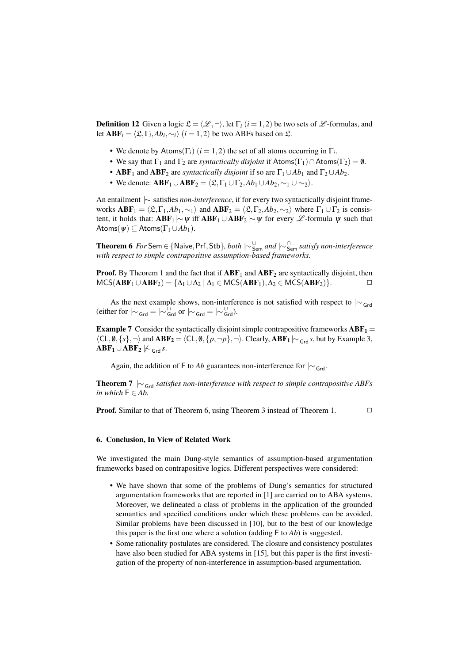**Definition 12** Given a logic  $\mathcal{L} = \langle \mathcal{L}, \vdash \rangle$ , let  $\Gamma_i$  (*i* = 1,2) be two sets of  $\mathcal{L}$ -formulas, and let  $\mathbf{ABF}_i = \langle \mathfrak{L}, \Gamma_i, Ab_i, \sim_i \rangle$   $(i=1,2)$  be two ABFs based on  $\mathfrak{L}.$ 

- We denote by Atoms( $\Gamma_i$ ) ( $i = 1, 2$ ) the set of all atoms occurring in  $\Gamma_i$ .
- We say that  $\Gamma_1$  and  $\Gamma_2$  are *syntactically disjoint* if Atoms( $\Gamma_1$ ) ∩ Atoms( $\Gamma_2$ ) = 0.
- **ABF**<sub>1</sub> and **ABF**<sub>2</sub> are *syntactically disjoint* if so are  $\Gamma_1 \cup Ab_1$  and  $\Gamma_2 \cup Ab_2$ .
- We denote:  $ABF_1 \cup ABF_2 = \langle \mathfrak{L}, \Gamma_1 \cup \Gamma_2, Ab_1 \cup Ab_2, \sim_1 \cup \sim_2 \rangle$ .

An entailment |∼ satisfies *non-interference*, if for every two syntactically disjoint frameworks  $ABF_1 = \langle \mathfrak{L}, \Gamma_1, Ab_1, \sim_1 \rangle$  and  $ABF_2 = \langle \mathfrak{L}, \Gamma_2, Ab_2, \sim_2 \rangle$  where  $\Gamma_1 \cup \Gamma_2$  is consistent, it holds that:  $ABF_1 \sim \psi$  iff  $ABF_1 \cup ABF_2 \sim \psi$  for every  $\mathscr{L}$ -formula  $\psi$  such that  $\mathsf{Atoms}(\psi) \subseteq \mathsf{Atoms}(\Gamma_1 \cup Ab_1).$ 

Theorem 6 *For* Sem ∈ {Naive,Prf,Stb}*, both* |∼<sup>∪</sup> Sem *and* |∼<sup>∩</sup> Sem *satisfy non-interference with respect to simple contrapositive assumption-based frameworks.*

**Proof.** By Theorem 1 and the fact that if  $ABF_1$  and  $ABF_2$  are syntactically disjoint, then  $MCS(ABF_1 \cup ABF_2) = {\Delta_1 \cup \Delta_2 \mid \Delta_1 \in MCS(ABF_1), \Delta_2 \in MCS(ABF_2)}.$ 

As the next example shows, non-interference is not satisfied with respect to  $| \sim$ <sub>Grd</sub> (either for  $| \sim_{\mathsf{Grd}} = | \sim_{\mathsf{Grd}}^{\cap}$  or  $| \sim_{\mathsf{Grd}} = | \sim_{\mathsf{Grd}}^{\cup}$ ).

**Example 7** Consider the syntactically disjoint simple contrapositive frameworks  $ABF_1 =$  $\langle CL, \emptyset, \{s\}, \neg \rangle$  and  $ABF_2 = \langle CL, \emptyset, \{p, \neg p\}, \neg \rangle$ . Clearly,  $ABF_1 | \sim_{Grd} s$ , but by Example 3,  $ABF_1 \cup ABF_2 \not\sim_{Grd} s.$ 

Again, the addition of F to *Ab* guarantees non-interference for  $|~ \sim \frac{G}{C}$ 

Theorem 7  $\vert \sim_{Grd}$  *satisfies non-interference with respect to simple contrapositive ABFs in which*  $F \in Ab$ .

**Proof.** Similar to that of Theorem 6, using Theorem 3 instead of Theorem 1.  $\Box$ 

# 6. Conclusion, In View of Related Work

We investigated the main Dung-style semantics of assumption-based argumentation frameworks based on contrapositive logics. Different perspectives were considered:

- We have shown that some of the problems of Dung's semantics for structured argumentation frameworks that are reported in [1] are carried on to ABA systems. Moreover, we delineated a class of problems in the application of the grounded semantics and specified conditions under which these problems can be avoided. Similar problems have been discussed in [10], but to the best of our knowledge this paper is the first one where a solution (adding F to *Ab*) is suggested.
- Some rationality postulates are considered. The closure and consistency postulates have also been studied for ABA systems in [15], but this paper is the first investigation of the property of non-interference in assumption-based argumentation.